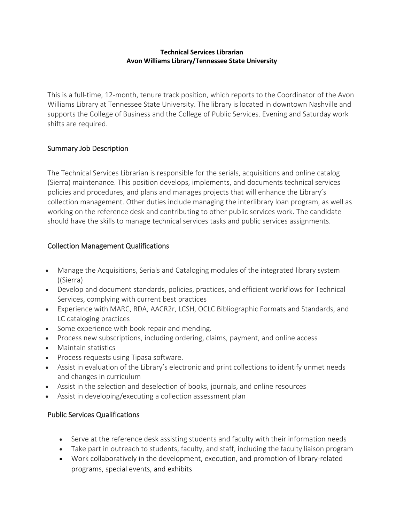### **Technical Services Librarian Avon Williams Library/Tennessee State University**

This is a full-time, 12-month, tenure track position, which reports to the Coordinator of the Avon Williams Library at Tennessee State University. The library is located in downtown Nashville and supports the College of Business and the College of Public Services. Evening and Saturday work shifts are required.

## Summary Job Description

The Technical Services Librarian is responsible for the serials, acquisitions and online catalog (Sierra) maintenance. This position develops, implements, and documents technical services policies and procedures, and plans and manages projects that will enhance the Library's collection management. Other duties include managing the interlibrary loan program, as well as working on the reference desk and contributing to other public services work. The candidate should have the skills to manage technical services tasks and public services assignments.

## Collection Management Qualifications

- Manage the Acquisitions, Serials and Cataloging modules of the integrated library system ((Sierra)
- Develop and document standards, policies, practices, and efficient workflows for Technical Services, complying with current best practices
- Experience with MARC, RDA, AACR2r, LCSH, OCLC Bibliographic Formats and Standards, and LC cataloging practices
- Some experience with book repair and mending.
- Process new subscriptions, including ordering, claims, payment, and online access
- Maintain statistics
- Process requests using Tipasa software.
- Assist in evaluation of the Library's electronic and print collections to identify unmet needs and changes in curriculum
- Assist in the selection and deselection of books, journals, and online resources
- Assist in developing/executing a collection assessment plan

# Public Services Qualifications

- Serve at the reference desk assisting students and faculty with their information needs
- Take part in outreach to students, faculty, and staff, including the faculty liaison program
- Work collaboratively in the development, execution, and promotion of library-related programs, special events, and exhibits